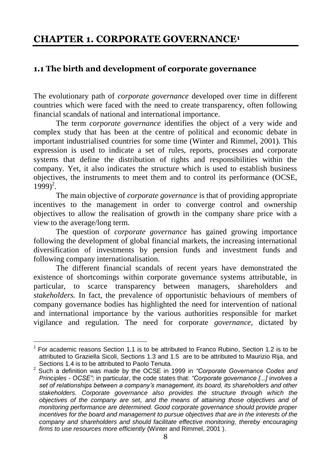## **CHAPTER 1. CORPORATE GOVERNANCE<sup>1</sup>**

## **1.1 The birth and development of corporate governance**

The evolutionary path of *corporate governance* developed over time in different countries which were faced with the need to create transparency, often following financial scandals of national and international importance.

The term *corporate governance* identifies the object of a very wide and complex study that has been at the centre of political and economic debate in important industrialised countries for some time (Winter and Rimmel, 2001). This expression is used to indicate a set of rules, reports, processes and corporate systems that define the distribution of rights and responsibilities within the company. Yet, it also indicates the structure which is used to establish business objectives, the instruments to meet them and to control its performance (OCSE,  $1999)^2$ .

The main objective of *corporate governance* is that of providing appropriate incentives to the management in order to converge control and ownership objectives to allow the realisation of growth in the company share price with a view to the average/long term.

The question of *corporate governance* has gained growing importance following the development of global financial markets, the increasing international diversification of investments by pension funds and investment funds and following company internationalisation.

The different financial scandals of recent years have demonstrated the existence of shortcomings within corporate governance systems attributable, in particular, to scarce transparency between managers, shareholders and *stakeholders.* In fact, the prevalence of opportunistic behaviours of members of company governance bodies has highlighted the need for intervention of national and international importance by the various authorities responsible for market vigilance and regulation. The need for corporate *governance,* dictated by

l  $1$  For academic reasons Section 1.1 is to be attributed to Franco Rubino, Section 1.2 is to be attributed to Graziella Sicoli, Sections 1.3 and 1.5 are to be attributed to Maurizio Rija, and Sections 1.4 is to be attributed to Paolo Tenuta.

<sup>2</sup> Such a definition was made by the OCSE in 1999 in *"Corporate Governance Codes and Principles - OCSE";* in particular, the code states that: *"Corporate governance [...] involves a set of relationships between a company's management, its board, its shareholders and other stakeholders. Corporate governance also provides the structure through which the objectives of the company are set, and the means of attaining those objectives and of monitoring performance are determined. Good corporate governance should provide proper incentives for the board and management to pursue objectives that are in the interests of the company and shareholders and should facilitate effective monitoring, thereby encouraging firms to use resources more efficiently* (Winter and Rimmel, 2001 ).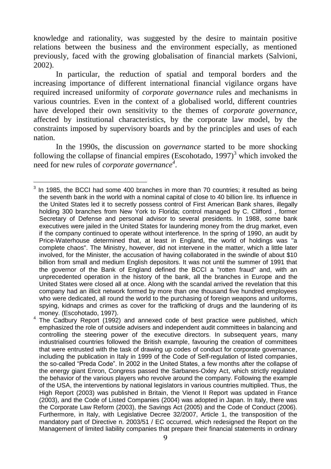knowledge and rationality, was suggested by the desire to maintain positive relations between the business and the environment especially, as mentioned previously, faced with the growing globalisation of financial markets (Salvioni, 2002).

In particular, the reduction of spatial and temporal borders and the increasing importance of different international financial vigilance organs have required increased uniformity of *corporate governance* rules and mechanisms in various countries. Even in the context of a globalised world, different countries have developed their own sensitivity to the themes of *corporate governance,* affected by institutional characteristics, by the corporate law model, by the constraints imposed by supervisory boards and by the principles and uses of each nation.

In the 1990s, the discussion on *governance* started to be more shocking following the collapse of financial empires (Escohotado,  $1997$ )<sup>3</sup> which invoked the need for new rules of *corporate governance 4* .

 $\ddot{\phantom{a}}$ 3 In 1985, the BCCI had some 400 branches in more than 70 countries; it resulted as being the seventh bank in the world with a nominal capital of close to 40 billion lire. Its influence in the United States led it to secretly possess control of First American Bank shares, illegally holding 300 branches from New York to Florida; control managed by C. Clifford , former Secretary of Defense and personal advisor to several presidents. In 1988, some bank executives were jailed in the United States for laundering money from the drug market, even if the company continued to operate without interference. In the spring of 1990, an audit by Price-Waterhouse determined that, at least in England, the world of holdings was "a complete chaos". The Ministry, however, did not intervene in the matter, which a little later involved, for the Minister, the accusation of having collaborated in the swindle of about \$10 billion from small and medium English depositors. It was not until the summer of 1991 that the governor of the Bank of England defined the BCCI a "rotten fraud" and, with an unprecedented operation in the history of the bank, all the branches in Europe and the United States were closed all at once. Along with the scandal arrived the revelation that this company had an illicit network formed by more than one thousand five hundred employees who were dedicated, all round the world to the purchasing of foreign weapons and uniforms, spying, kidnaps and crimes as cover for the trafficking of drugs and the laundering of its money. (Escohotado, 1997). 4

The Cadbury Report (1992) and annexed code of best practice were published, which emphasized the role of outside advisers and independent audit committees in balancing and controlling the steering power of the executive directors. In subsequent years, many industrialised countries followed the British example, favouring the creation of committees that were entrusted with the task of drawing up codes of conduct for corporate governance, including the publication in Italy in 1999 of the Code of Self-regulation of listed companies, the so-called "Preda Code". In 2002 in the United States, a few months after the collapse of the energy giant Enron, Congress passed the Sarbanes-Oxley Act, which strictly regulated the behavior of the various players who revolve around the company. Following the example of the USA, the interventions by national legislators in various countries multiplied. Thus, the High Report (2003) was published in Britain, the Vienot II Report was updated in France (2003), and the Code of Listed Companies (2004) was adopted in Japan. In Italy, there was the Corporate Law Reform (2003), the Savings Act (2005) and the Code of Conduct (2006). Furthermore, in Italy, with Legislative Decree 32/2007, Article 1, the transposition of the mandatory part of Directive n. 2003/51 / EC occurred, which redesigned the Report on the Management of limited liability companies that prepare their financial statements in ordinary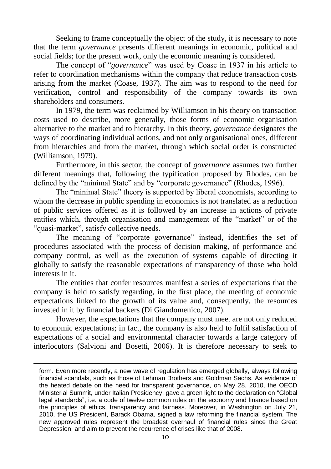Seeking to frame conceptually the object of the study, it is necessary to note that the term *governance* presents different meanings in economic, political and social fields; for the present work, only the economic meaning is considered.

The concept of "*governance*" was used by Coase in 1937 in his article to refer to coordination mechanisms within the company that reduce transaction costs arising from the market (Coase, 1937). The aim was to respond to the need for verification, control and responsibility of the company towards its own shareholders and consumers.

In 1979, the term was reclaimed by Williamson in his theory on transaction costs used to describe, more generally, those forms of economic organisation alternative to the market and to hierarchy. In this theory, *governance* designates the ways of coordinating individual actions, and not only organisational ones, different from hierarchies and from the market, through which social order is constructed (Williamson, 1979).

Furthermore, in this sector, the concept of *governance* assumes two further different meanings that, following the typification proposed by Rhodes, can be defined by the "minimal State" and by "corporate governance" (Rhodes, 1996).

The "minimal State" theory is supported by liberal economists, according to whom the decrease in public spending in economics is not translated as a reduction of public services offered as it is followed by an increase in actions of private entities which, through organisation and management of the "market" or of the "quasi-market", satisfy collective needs.

The meaning of "corporate governance" instead, identifies the set of procedures associated with the process of decision making, of performance and company control, as well as the execution of systems capable of directing it globally to satisfy the reasonable expectations of transparency of those who hold interests in it.

The entities that confer resources manifest a series of expectations that the company is held to satisfy regarding, in the first place, the meeting of economic expectations linked to the growth of its value and, consequently, the resources invested in it by financial backers (Di Giandomenico, 2007).

However, the expectations that the company must meet are not only reduced to economic expectations; in fact, the company is also held to fulfil satisfaction of expectations of a social and environmental character towards a large category of interlocutors (Salvioni and Bosetti, 2006). It is therefore necessary to seek to

 $\overline{a}$ 

form. Even more recently, a new wave of regulation has emerged globally, always following financial scandals, such as those of Lehman Brothers and Goldman Sachs. As evidence of the heated debate on the need for transparent governance, on May 28, 2010, the OECD Ministerial Summit, under Italian Presidency, gave a green light to the declaration on "Global legal standards", i.e. a code of twelve common rules on the economy and finance based on the principles of ethics, transparency and fairness. Moreover, in Washington on July 21, 2010, the US President, Barack Obama, signed a law reforming the financial system. The new approved rules represent the broadest overhaul of financial rules since the Great Depression, and aim to prevent the recurrence of crises like that of 2008.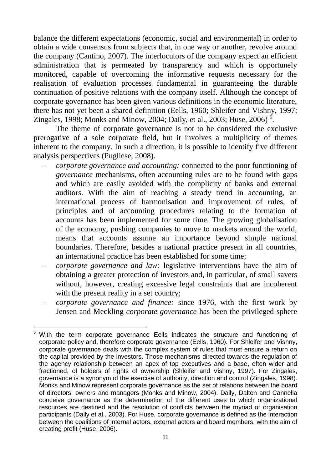balance the different expectations (economic, social and environmental) in order to obtain a wide consensus from subjects that, in one way or another, revolve around the company (Cantino, 2007). The interlocutors of the company expect an efficient administration that is permeated by transparency and which is opportunely monitored, capable of overcoming the informative requests necessary for the realisation of evaluation processes fundamental in guaranteeing the durable continuation of positive relations with the company itself. Although the concept of corporate governance has been given various definitions in the economic literature, there has not yet been a shared definition (Eells, 1960; Shleifer and Vishny, 1997; Zingales, 1998; Monks and Minow, 2004; Daily, et al., 2003; Huse, 2006)<sup>5</sup>.

The theme of corporate governance is not to be considered the exclusive prerogative of a sole corporate field, but it involves a multiplicity of themes inherent to the company. In such a direction, it is possible to identify five different analysis perspectives (Pugliese, 2008).

- *corporate governance and accounting:* connected to the poor functioning of *governance* mechanisms, often accounting rules are to be found with gaps and which are easily avoided with the complicity of banks and external auditors. With the aim of reaching a steady trend in accounting, an international process of harmonisation and improvement of rules, of principles and of accounting procedures relating to the formation of accounts has been implemented for some time. The growing globalisation of the economy, pushing companies to move to markets around the world, means that accounts assume an importance beyond simple national boundaries. Therefore, besides a national practice present in all countries, an international practice has been established for some time;
- *corporate governance and law:* legislative interventions have the aim of obtaining a greater protection of investors and, in particular, of small savers without, however, creating excessive legal constraints that are incoherent with the present reality in a set country;
- *corporate governance and finance:* since 1976, with the first work by Jensen and Meckling *corporate governance* has been the privileged sphere

 $\overline{a}$ 

<sup>&</sup>lt;sup>5</sup> With the term corporate governance Eells indicates the structure and functioning of corporate policy and, therefore corporate governance (Eells, 1960). For Shleifer and Vishny, corporate governance deals with the complex system of rules that must ensure a return on the capital provided by the investors. Those mechanisms directed towards the regulation of the agency relationship between an apex of top executives and a base, often wider and fractioned, of holders of rights of ownership (Shleifer and Vishny, 1997). For Zingales, governance is a synonym of the exercise of authority, direction and control (Zingales, 1998). Monks and Minow represent corporate governance as the set of relations between the board of directors, owners and managers (Monks and Minow, 2004). Daily, Dalton and Cannella conceive governance as the determination of the different uses to which organizational resources are destined and the resolution of conflicts between the myriad of organisation participants (Daily et al., 2003). For Huse, corporate governance is defined as the interaction between the coalitions of internal actors, external actors and board members, with the aim of creating profit (Huse, 2006).